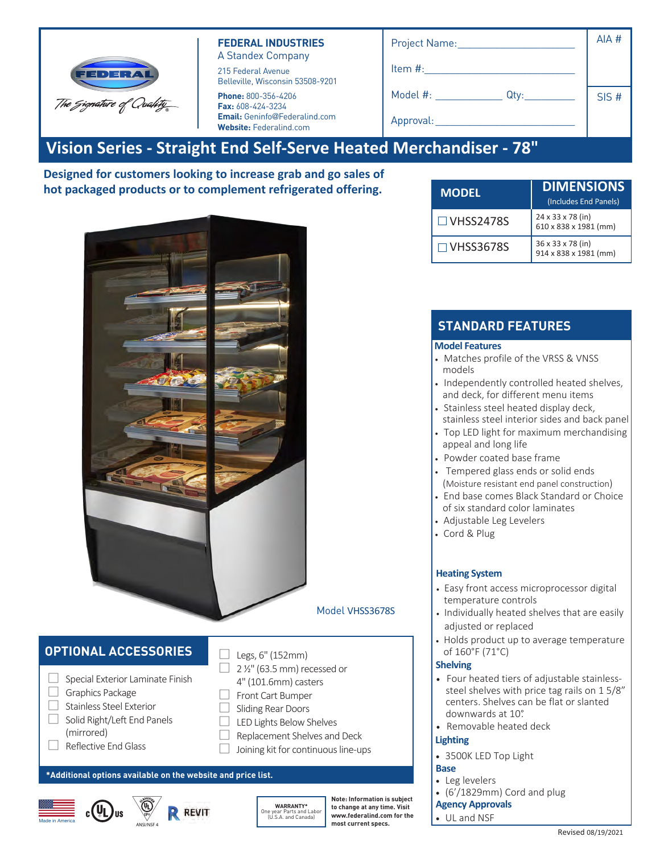| FEDERA                   |
|--------------------------|
| The Signature of Quahty_ |

### **FEDERAL INDUSTRIES** A Standex Company

215 Federal Avenue Belleville, Wisconsin 53508-9201

**Phone:** 800-356-4206 **Fax:** 608-424-3234 **Email:** Geninfo@Federalind.com **Website:** Federalind.com

| Project Name:    | AIA # |
|------------------|-------|
| Item #:          |       |
| Model #:<br>Qty: | SIS#  |
| Approval:        |       |
| -                |       |

# **Vision Series - Straight End Self-Serve Heated Merchandiser - 78"**

**Designed for customers looking to increase grab and go sales of hot packaged products or to complement refrigerated offering.**



# **OPTIONAL ACCESSORIES**

Stainless Steel Exterior Finish Solid Right/Le t End anels (mirrored) Re lective End lass Sliding Rear Doors (Hinged on 24" Cases

#### **\*Additional options available on the website and price list.**





LED Lights Below Shelves Front Cart Bumper Recessed or 4" (101.6mm) casters Legs 6" (152mm) Skirt w/Casters or Legs Joining kit for continuous line-ups Replacement Shelves and Deck

**WARRANTY\*** One year Parts and Labor (U.S.A. and Canada)

**Note: Information is subject to change at any time. Visit www.federalind.com for the most current specs.**

| <b>MODEL</b>     | <b>DIMENSIONS</b><br>(Includes End Panels) |
|------------------|--------------------------------------------|
| $\Box$ VHSS2478S | 24 x 33 x 78 (in)<br>610 x 838 x 1981 (mm) |
| $\Box$ VHSS3678S | 36 x 33 x 78 (in)<br>914 x 838 x 1981 (mm) |

## **STANDARD FEATURES**

#### **Model Features**

- Powder coated base frame
- Matches profile of the VRSS & VNSS models
- Independently controlled heated shelves, and deck, for different menu items
- Stainless steel heated display deck
- Stainless steel interior sides and back • panel
- Top LED light for maximum merchandising appeal and long life
- Tempered glass end inserts with choice of six standard color laminates on lower millwork panel. Black Standard.
- Adjustable Leg Levelers
- Cord & Plug

### **Heating System**

- Easy front access microprocessor digital temperature controls
- Individually heated shelves that are easily adjusted or replaced
- Holds product up to average temperature of 160°F (71°C)

#### **Shelving**

- Four heated tiers of adjustable stainlesssteel shelves with price tag rails on 1 5/8" centers. Shelves can be flat or slanted downwards at 10°.
- Removable heated deck

### **Lighting**

• 3500K LED Top Light

#### **Agency Approvals**

• UL, C-UL, and NSF4